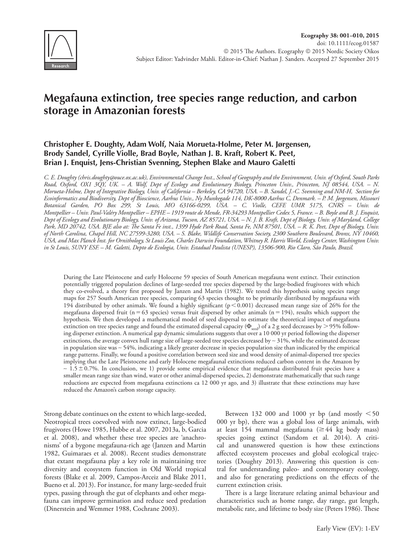

# **Megafauna extinction, tree species range reduction, and carbon storage in Amazonian forests**

# **Christopher E. Doughty, Adam Wolf, Naia Morueta-Holme, Peter M. Jørgensen, Brody Sandel, Cyrille Violle, Brad Boyle, Nathan J. B. Kraft, Robert K. Peet, Brian J. Enquist, Jens-Christian Svenning, Stephen Blake and Mauro Galetti**

*C. E. Doughty (chris.doughty@ouce.ox.ac.uk), Environmental Change Inst., School of Geography and the Environment, Univ. of Oxford, South Parks Road, Oxford, OX1 3QY, UK. – A. Wolf, Dept of Ecology and Evolutionary Biology, Princeton Univ., Princeton, NJ 08544, USA. – N. Morueta-Holme, Dept of Integrative Biology, Univ. of California – Berkeley, CA 94720, USA. – B. Sandel, J.-C. Svenning and NM-H, Section for Ecoinformatics and Biodiversity, Dept of Bioscience, Aarhus Univ., Ny Munkegade 114, DK-8000 Aarhus C, Denmark. – P. M. Jørgensen, Missouri Botanical Garden, PO Box 299, St Louis, MO 63166-0299, USA. – C. Violle, CEFE UMR 5175, CNRS – Univ. de Montpellier – Univ. Paul-Valéry Montpellier – EPHE – 1919 route de Mende, FR-34293 Montpellier Cedex 5, France. – B. Boyle and B. J. Enquist, Dept of Ecology and Evolutionary Biology, Univ. of Arizona, Tucson, AZ 85721, USA. – N. J. B. Kraft, Dept of Biology, Univ. of Maryland, College Park, MD 20742, USA. BJE also at: The Santa Fe inst., 1399 Hyde Park Road, Santa Fe, NM 87501, USA. – R. K. Peet, Dept of Biology, Univ. of North Carolina, Chapel Hill, NC 27599-3280, USA. – S. Blake, Wildlife Conservation Society, 2300 Southern Boulevard, Bronx, NY 10460, USA, and Max Planck Inst. for Ornithology, St Louis Zoo, Charles Darwin Foundation, Whitney R. Harris World, Ecology Center, Washington Univ. in St Louis, SUNY ESF. – M. Galetti, Depto de Ecologia, Univ. Estadual Paulista (UNESP), 13506-900, Rio Claro, São Paulo, Brazil.*

During the Late Pleistocene and early Holocene 59 species of South American megafauna went extinct. Their extinction potentially triggered population declines of large-seeded tree species dispersed by the large-bodied frugivores with which they co-evolved, a theory first proposed by Janzen and Martin (1982). We tested this hypothesis using species range maps for 257 South American tree species, comparing 63 species thought to be primarily distributed by megafauna with 194 distributed by other animals. We found a highly significant ( $p<0.001$ ) decreased mean range size of 26% for the megafauna dispersed fruit (n = 63 species) versus fruit dispersed by other animals (n = 194), results which support the hypothesis. We then developed a mathematical model of seed dispersal to estimate the theoretical impact of megafauna extinction on tree species range and found the estimated dispersal capacity ( $\Phi_{\rm seed}$ ) of a 2 g seed decreases by  $>$  95% following disperser extinction. A numerical gap dynamic simulations suggests that over a 10 000 yr period following the disperser extinctions, the average convex hull range size of large-seeded tree species decreased by ∼ 31%, while the estimated decrease in population size was ∼ 54%, indicating a likely greater decrease in species population size than indicated by the empirical range patterns. Finally, we found a positive correlation between seed size and wood density of animal-dispersed tree species implying that the Late Pleistocene and early Holocene megafaunal extinctions reduced carbon content in the Amazon by  $~1.5\pm0.7$ %. In conclusion, we 1) provide some empirical evidence that megafauna distributed fruit species have a smaller mean range size than wind, water or other animal-dispersed species, 2) demonstrate mathematically that such range reductions are expected from megafauna extinctions ca 12 000 yr ago, and 3) illustrate that these extinctions may have reduced the Amazon's carbon storage capacity.

Strong debate continues on the extent to which large-seeded, Neotropical trees coevolved with now extinct, large-bodied frugivores (Howe 1985, Hubbe et al. 2007, 2013a, b, Garcia et al. 2008), and whether these tree species are 'anachronisms' of a bygone megafauna-rich age (Janzen and Martin 1982, Guimaraes et al. 2008). Recent studies demonstrate that extant megafauna play a key role in maintaining tree diversity and ecosystem function in Old World tropical forests (Blake et al. 2009, Campos-Arceiz and Blake 2011, Bueno et al. 2013). For instance, for many large-seeded fruit types, passing through the gut of elephants and other megafauna can improve germination and reduce seed predation (Dinerstein and Wemmer 1988, Cochrane 2003).

Between 132 000 and 1000 yr bp (and mostly  $\leq 50$ 000 yr bp), there was a global loss of large animals, with at least 154 mammal megafauna ( $\geq$  44 kg body mass) species going extinct (Sandom et al. 2014). A critical and unanswered question is how these extinctions affected ecosystem processes and global ecological trajectories (Doughty 2013). Answering this question is central for understanding paleo- and contemporary ecology, and also for generating predictions on the effects of the current extinction crisis.

There is a large literature relating animal behaviour and characteristics such as home range, day range, gut length, metabolic rate, and lifetime to body size (Peters 1986). These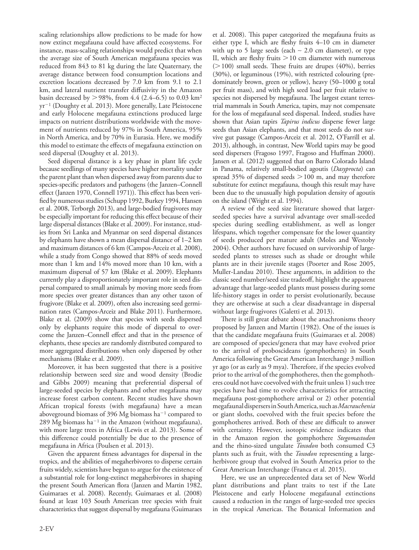scaling relationships allow predictions to be made for how now extinct megafauna could have affected ecosystems. For instance, mass-scaling relationships would predict that when the average size of South American megafauna species was reduced from 843 to 81 kg during the late Quaternary, the average distance between food consumption locations and excretion locations decreased by 7.0 km from 9.1 to 2.1 km, and lateral nutrient transfer diffusivity in the Amazon basin decreased by  $> 98\%$ , from 4.4 (2.4–6.5) to 0.03 km<sup>2</sup>  $yr^{-1}$  (Doughty et al. 2013). More generally, Late Pleistocene and early Holocene megafauna extinctions produced large impacts on nutrient distributions worldwide with the movement of nutrients reduced by 97% in South America, 95% in North America, and by 70% in Eurasia. Here, we modify this model to estimate the effects of megafauna extinction on seed dispersal (Doughty et al. 2013).

Seed dispersal distance is a key phase in plant life cycle because seedlings of many species have higher mortality under the parent plant than when dispersed away from parents due to species-specific predators and pathogens (the Janzen–Connell effect (Janzen 1970, Connell 1971)). This effect has been verified by numerous studies (Schupp 1992, Burkey 1994, Hansen et al. 2008, Terborgh 2013), and large-bodied frugivores may be especially important for reducing this effect because of their large dispersal distances (Blake et al. 2009). For instance, studies from Sri Lanka and Myanmar on seed dispersal distances by elephants have shown a mean dispersal distance of 1–2 km and maximum distances of 6 km (Campos-Arceiz et al. 2008), while a study from Congo showed that 88% of seeds moved more than 1 km and 14% moved more than 10 km, with a maximum dispersal of 57 km (Blake et al. 2009). Elephants currently play a disproportionately important role in seed dispersal compared to small animals by moving more seeds from more species over greater distances than any other taxon of frugivore (Blake et al. 2009), often also increasing seed germination rates (Campos-Arceiz and Blake 2011). Furthermore, Blake et al. (2009) show that species with seeds dispersed only by elephants require this mode of dispersal to overcome the Janzen–Connell effect and that in the presence of elephants, these species are randomly distributed compared to more aggregated distributions when only dispersed by other mechanisms (Blake et al. 2009).

Moreover, it has been suggested that there is a positive relationship between seed size and wood density (Brodie and Gibbs 2009) meaning that preferential dispersal of large-seeded species by elephants and other megafauna may increase forest carbon content. Recent studies have shown African tropical forests (with megafauna) have a mean aboveground biomass of 396 Mg biomass  $ha^{-1}$  compared to 289 Mg biomass ha<sup>-1</sup> in the Amazon (without megafauna), with more large trees in Africa (Lewis et al. 2013). Some of this difference could potentially be due to the presence of megafauna in Africa (Poulsen et al. 2013).

Given the apparent fitness advantages for dispersal in the tropics, and the abilities of megaherbivores to disperse certain fruits widely, scientists have begun to argue for the existence of a substantial role for long-extinct megaherbivores in shaping the present South American flora (Janzen and Martin 1982, Guimaraes et al. 2008). Recently, Guimaraes et al. (2008) found at least 103 South American tree species with fruit characteristics that suggest dispersal by megafauna (Guimaraes

et al. 2008). This paper categorized the megafauna fruits as either type I, which are fleshy fruits 4–10 cm in diameter with up to 5 large seeds (each  $\sim$  2.0 cm diameter), or type II, which are fleshy fruits  $> 10$  cm diameter with numerous  $(>100)$  small seeds. These fruits are drupes (40%), berries (30%), or leguminous (19%), with restricted colouring (predominately brown, green or yellow), heavy (50–1000 g total per fruit mass), and with high seed load per fruit relative to species not dispersed by megafauna. The largest extant terrestrial mammals in South America, tapirs, may not compensate for the loss of megafaunal seed dispersal. Indeed, studies have shown that Asian tapirs *Tapirus indicus* disperse fewer large seeds than Asian elephants, and that most seeds do not survive gut passage (Campos-Arceiz et al. 2012, O'Farrill et al. 2013), although, in contrast, New World tapirs may be good seed dispersers (Fragoso 1997, Fragoso and Huffman 2000). Jansen et al. (2012) suggested that on Barro Colorado Island in Panama, relatively small-bodied agoutis (*Dasyprocta*) can spread 35% of dispersed seeds  $> 100$  m, and may therefore substitute for extinct megafauna, though this result may have been due to the unusually high population density of agoutis on the island (Wright et al. 1994).

A review of the seed size literature showed that largerseeded species have a survival advantage over small-seeded species during seedling establishment, as well as longer lifespans, which together compensate for the lower quantity of seeds produced per mature adult (Moles and Westoby 2004). Other authors have focused on survivorship of largeseeded plants to stresses such as shade or drought while plants are in their juvenile stages (Poorter and Rose 2005, Muller-Landau 2010). These arguments, in addition to the classic seed number/seed size tradeoff, highlight the apparent advantage that large-seeded plants must possess during some life-history stages in order to persist evolutionarily, because they are otherwise at such a clear disadvantage in dispersal without large frugivores (Galetti et al. 2013).

There is still great debate about the anachronisms theory proposed by Janzen and Martin (1982). One of the issues is that the candidate megafauna fruits (Guimaraes et al. 2008) are composed of species/genera that may have evolved prior to the arrival of proboscideans (gomphotheres) in South America following the Great American Interchange 3 million yr ago (or as early as 9 mya). Therefore, if the species evolved prior to the arrival of the gomphotheres, then the gomphotheres could not have coevolved with the fruit unless 1) such tree species have had time to evolve characteristics for attracting megafauna post-gomphothere arrival or 2) other potential megafaunal dispersers in South America, such as *Macrauchenia* or giant sloths, coevolved with the fruit species before the gomphotheres arrived. Both of these are difficult to answer with certainty. However, isotopic evidence indicates that in the Amazon region the gomphothere *Stegomastodon* and the rhino-sized ungulate *Toxodon* both consumed C3 plants such as fruit, with the *Toxodon* representing a largeherbivore group that evolved in South America prior to the Great American Interchange (Franca et al. 2015).

Here, we use an unprecedented data set of New World plant distributions and plant traits to test if the Late Pleistocene and early Holocene megafaunal extinctions caused a reduction in the ranges of large-seeded tree species in the tropical Americas. The Botanical Information and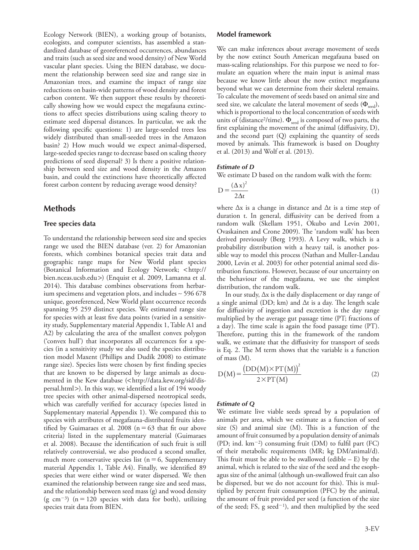Ecology Network (BIEN), a working group of botanists, ecologists, and computer scientists, has assembled a standardized database of georeferenced occurrences, abundances and traits (such as seed size and wood density) of New World vascular plant species. Using the BIEN database, we document the relationship between seed size and range size in Amazonian trees, and examine the impact of range size reductions on basin-wide patterns of wood density and forest carbon content. We then support these results by theoretically showing how we would expect the megafauna extinctions to affect species distributions using scaling theory to estimate seed dispersal distances. In particular, we ask the following specific questions: 1) are large-seeded trees less widely distributed than small-seeded trees in the Amazon basin? 2) How much would we expect animal-dispersed, large-seeded species range to decrease based on scaling theory predictions of seed dispersal? 3) Is there a positive relationship between seed size and wood density in the Amazon basin, and could the extinctions have theoretically affected forest carbon content by reducing average wood density?

## **Methods**

#### **Tree species data**

To understand the relationship between seed size and species range we used the BIEN database (ver. 2) for Amazonian forests, which combines botanical species trait data and geographic range maps for New World plant species (Botanical Information and Ecology Network; <http:// bien.nceas.ucsb.edu>) (Enquist et al. 2009, Lamanna et al. 2014). This database combines observations from herbarium specimens and vegetation plots, and includes ∼ 596 678 unique, georeferenced, New World plant occurrence records spanning 95 259 distinct species. We estimated range size for species with at least five data points (varied in a sensitivity study, Supplementary material Appendix 1, Table A1 and A2) by calculating the area of the smallest convex polygon ('convex hull') that incorporates all occurrences for a species (in a sensitivity study we also used the species distribution model Maxent (Phillips and Dudík 2008) to estimate range size). Species lists were chosen by first finding species that are known to be dispersed by large animals as documented in the Kew database (<http://data.kew.org/sid/dispersal.html>). In this way, we identified a list of 194 woody tree species with other animal-dispersed neotropical seeds, which was carefully verified for accuracy (species listed in Supplementary material Appendix 1). We compared this to species with attributes of megafauna-distributed fruits identified by Guimaraes et al. 2008 ( $n=63$  that fit our above criteria) listed in the supplementary material (Guimaraes et al. 2008). Because the identification of such fruit is still relatively controversial, we also produced a second smaller, much more conservative species list ( $n=6$ , Supplementary material Appendix 1, Table A4). Finally, we identified 89 species that were either wind or water dispersed. We then examined the relationship between range size and seed mass, and the relationship between seed mass (g) and wood density (g cm<sup>-3</sup>) (n = 120 species with data for both), utilizing species trait data from BIEN.

We can make inferences about average movement of seeds by the now extinct South American megafauna based on mass-scaling relationships. For this purpose we need to formulate an equation where the main input is animal mass because we know little about the now extinct megafauna beyond what we can determine from their skeletal remains. To calculate the movement of seeds based on animal size and seed size, we calculate the lateral movement of seeds  $(\Phi_{\text{seed}})$ , which is proportional to the local concentration of seeds with units of (distance<sup>2</sup>/time).  $\Phi_{\text{seed}}$  is composed of two parts, the first explaining the movement of the animal (diffusivity, D), and the second part (Q) explaining the quantity of seeds moved by animals. This framework is based on Doughty et al. (2013) and Wolf et al. (2013).

### *Estimate of D*

We estimate D based on the random walk with the form:

$$
D = \frac{(\Delta x)^2}{2\Delta t} \tag{1}
$$

where ∆x is a change in distance and ∆t is a time step of duration t. In general, diffusivity can be derived from a random walk (Skellam 1951, Okubo and Levin 2001, Ovaskainen and Crone 2009). The 'random walk' has been derived previously (Berg 1993). A Levy walk, which is a probability distribution with a heavy tail, is another possible way to model this process (Nathan and Muller-Landau 2000, Levin et al. 2003) for other potential animal seed distribution functions. However, because of our uncertainty on the behaviour of the megafauna, we use the simplest distribution, the random walk.

In our study, ∆x is the daily displacement or day range of a single animal (DD; km) and ∆t is a day. The length scale for diffusivity of ingestion and excretion is the day range multiplied by the average gut passage time (PT; fractions of a day). The time scale is again the food passage time (PT). Therefore, putting this in the framework of the random walk, we estimate that the diffusivity for transport of seeds is Eq. 2. The M term shows that the variable is a function of mass (M).

$$
D(M) = \frac{(DD(M) \times PT(M))^{2}}{2 \times PT(M)}
$$
 (2)

#### *Estimate of Q*

We estimate live viable seeds spread by a population of animals per area, which we estimate as a function of seed size (S) and animal size (M). This is a function of the amount of fruit consumed by a population density of animals (PD; ind.  $km^{-2}$ ) consuming fruit (DM) to fulfil part (FC) of their metabolic requirements (MR; kg DM/animal/d). This fruit must be able to be swallowed (edible – E) by the animal, which is related to the size of the seed and the esophagus size of the animal (although un-swallowed fruit can also be dispersed, but we do not account for this). This is multiplied by percent fruit consumption (PFC) by the animal, the amount of fruit provided per seed (a function of the size of the seed; FS, g seed<sup>-1</sup>), and then multiplied by the seed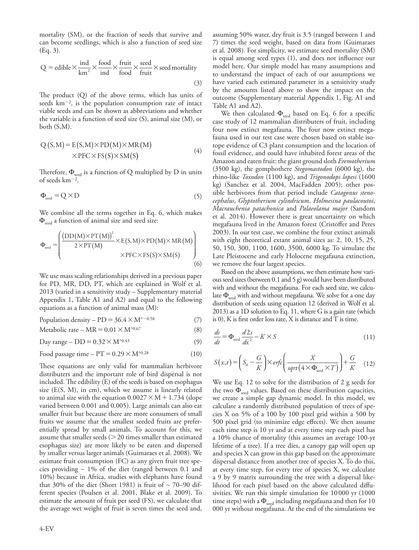mortality (SM), or the fraction of seeds that survive and can become seedlings, which is also a function of seed size (Eq. 3).

$$
Q = \text{edible} \times \frac{\text{ind}}{\text{km}^2} \times \frac{\text{food}}{\text{ind}} \times \frac{\text{fruit}}{\text{food}} \times \frac{\text{seed}}{\text{fruit}} \times \text{seed mortality}
$$
\n(3)

The product (Q) of the above terms, which has units of seeds  $km^{-2}$ , is the population consumption rate of intact viable seeds and can be shown as abbreviations and whether the variable is a function of seed size (S), animal size (M), or both (S,M).

$$
Q(S,M) = E(S,M) \times PD(M) \times MR(M)
$$
  
× PFC × FS(S) × SM(S) (4)

Therefore,  $\Phi_{\text{seed}}$  is a function of Q multiplied by D in units of seeds  $km^{-2}$ .

$$
\Phi_{\text{seed}} = Q \times D \tag{5}
$$

We combine all the terms together in Eq. 6, which makes  $\Phi_{\text{seed}}$  a function of animal size and seed size:

$$
\Phi_{\text{seed}} = \left( \frac{\left( \text{DD}(M) \times \text{PT}(M) \right)^2}{2 \times \text{PT}(M)} \times E(S, M) \times \text{PD}(M) \times \text{MR}(M) \right) \times \text{PFC} \times \text{FS}(S) \times \text{SM}(S) \tag{6}
$$

We use mass scaling relationships derived in a previous paper for PD, MR, DD, PT, which are explained in Wolf et al. 2013 (varied in a sensitivity study – Supplementary material Appendix 1, Table A1 and A2) and equal to the following equations as a function of animal mass (M):

Population density –  $PD = 36.4 \times M^{\wedge -0.58}$  (7)

$$
Metabolic rate - MR = 0.01 \times M^{\text{A}}^{6.67}
$$
 (8)

Day range –  $DD = 0.32 \times M^{0.43}$  (9)

Food passage time –  $PT = 0.29 \times M^{\text{o.28}}$  (10)

These equations are only valid for mammalian herbivore distributers and the important role of bird dispersal is not included. The edibility (E) of the seeds is based on esophagus size  $(E(S, M),$  in cm), which we assume is linearly related to animal size with the equation  $0.0027 \times M + 1.734$  (slope varied between 0.001 and 0.005). Large animals can also eat smaller fruit but because there are more consumers of small fruits we assume that the smallest seeded fruits are preferentially spread by small animals. To account for this, we assume that smaller seeds  $(>20$  times smaller than estimated esophagus size) are more likely to be eaten and dispersed by smaller versus larger animals (Guimaraes et al. 2008). We estimate fruit consumption (FC) as any given fruit tree species providing ∼ 1% of the diet (ranged between 0.1 and 10%) because in Africa, studies with elephants have found that 30% of the diet (Short 1981) is fruit of ∼ 70–90 different species (Poulsen et al. 2001, Blake et al. 2009). To estimate the amount of fruit per seed (FS), we calculate that the average wet weight of fruit is seven times the seed and, assuming 50% water, dry fruit is 3.5 (ranged between 1 and 7) times the seed weight, based on data from (Guimaraes et al. 2008). For simplicity, we estimate seed mortality (SM) is equal among seed types (1), and does not influence our model here. Our simple model has many assumptions and to understand the impact of each of our assumptions we have varied each estimated parameter in a sensitivity study by the amounts listed above to show the impact on the outcome (Supplementary material Appendix 1, Fig. A1 and Table A1 and A2).

We then calculated  $\Phi_{\text{seed}}$  based on Eq. 6 for a specific case study of 12 mammalian distributers of fruit, including four now extinct megafauna. The four now extinct megafauna used in our test case were chosen based on stable isotope evidence of C3 plant consumption and the location of fossil evidence, and could have inhabited forest areas of the Amazon and eaten fruit: the giant ground sloth *Eremotherium* (3500 kg), the gomphothere *Stegomastodon* (6000 kg)*,* the rhino-like *Toxodon* (1100 kg), and *Trigonodops lopesi* (1600 kg) (Sanchez et al. 2004, MacFadden 2005); other possible herbivores from that period include *Catagonus stenocephalus*, *Glyptotherium cylindricum*, *Holmesina paulacoutoi*, *Macrauchenia patachonica* and *Palaeolama major* (Sandom et al. 2014). However there is great uncertainty on which megafauna lived in the Amazon forest (Cristoffer and Peres 2003). In our test case, we combine the four extinct animals with eight theoretical extant animal sizes as: 2, 10, 15, 25, 50, 150, 300, 1100, 1600, 3500, 6000 kg. To simulate the Late Pleistocene and early Holocene megafauna extinction, we remove the four largest species.

Based on the above assumptions, we then estimate how various seed sizes (between 0.1 and 5 g) would have been distributed with and without the megafauna. For each seed size, we calculate  $\Phi_{\text{seed}}$  with and without megafauna. We solve for a one day distribution of seeds using equation 12 (derived in Wolf et al. 2013) as a 1D solution to Eq. 11, where G is a gain rate (which is 0), K is first order loss rate, X is distance and T is time.

$$
\frac{ds}{dt} = \Phi_{\text{seed}} \frac{d2s}{dx^2} - K \times S \tag{11}
$$

$$
S(x,t) = \left(S_0 - \frac{G}{K}\right) \times erfc\left(\frac{X}{sqrt(4 \times \Phi_{\text{seed}} \times T)}\right) + \frac{G}{K} \quad (12)
$$

We use Eq. 12 to solve for the distribution of 2 g seeds for the two  $\Phi_{\rm seed}$  values. Based on these distribution capacities, we create a simple gap dynamic model. In this model, we calculate a randomly distributed population of trees of species X on 5% of a 100 by 100 pixel grid within a 500 by 500 pixel grid (to minimize edge effects). We then assume each time step is 10 yr and at every time step each pixel has a 10% chance of mortality (this assumes an average 100-yr lifetime of a tree). If a tree dies, a canopy gap will open up and species X can grow in this gap based on the approximate dispersal distance from another tree of species X. To do this, at every time step, for every tree of species X, we calculate a 9 by 9 matrix surrounding the tree with a dispersal likelihood for each pixel based on the above calculated diffusivities. We run this simple simulation for 10000 yr (1000 time steps) with a  $\Phi_{\text{seed}}$  including megafauna and then for 10 000 yr without megafauna. At the end of the simulations we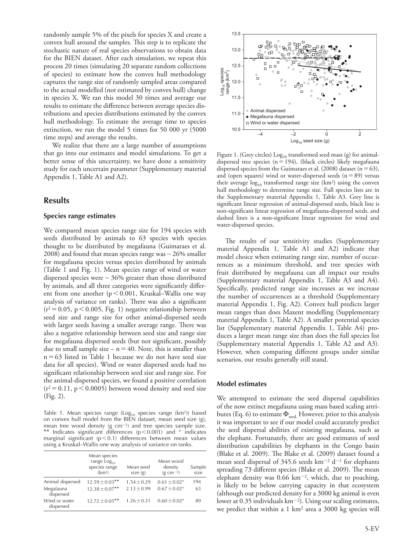randomly sample 5% of the pixels for species X and create a convex hull around the samples. This step is to replicate the stochastic nature of real species observations to obtain data for the BIEN dataset. After each simulation, we repeat this process 20 times (simulating 20 separate random collections of species) to estimate how the convex hull methodology captures the range size of randomly sampled areas compared to the actual modelled (not estimated by convex hull) change in species X. We ran this model 30 times and average our results to estimate the difference between average species distributions and species distributions estimated by the convex hull methodology. To estimate the average time to species extinction, we run the model 5 times for 50 000 yr (5000 time steps) and average the results.

We realize that there are a large number of assumptions that go into our estimates and model simulations. To get a better sense of this uncertainty, we have done a sensitivity study for each uncertain parameter (Supplementary material Appendix 1, Table A1 and A2).

# **Results**

#### **Species range estimates**

We compared mean species range size for 194 species with seeds distributed by animals to 63 species with species thought to be distributed by megafauna (Guimaraes et al. 2008) and found that mean species range was ∼ 26% smaller for megafauna species versus species distributed by animals (Table 1 and Fig. 1). Mean species range of wind or water dispersed species were ∼ 36% greater than those distributed by animals, and all three categories were significantly different from one another ( $p<0.001$ , Kruskal–Wallis one way analysis of variance on ranks). There was also a significant  $(r^2=0.05, p<0.005,$  Fig. 1) negative relationship between seed size and range size for other animal-dispersed seeds with larger seeds having a smaller average range. There was also a negative relationship between seed size and range size for megafauna dispersed seeds (but not significant, possibly due to small sample size –  $n = 40$ . Note, this is smaller than  $n=63$  listed in Table 1 because we do not have seed size data for all species). Wind or water dispersed seeds had no significant relationship between seed size and range size. For the animal-dispersed species, we found a positive correlation  $(r^2=0.11, p<0.0005)$  between wood density and seed size (Fig. 2).

Table 1. Mean species range (Log<sub>10</sub> species range (km<sup>2</sup>)) based on convex hull model from the BIEN dataset, mean seed size (g), mean tree wood density (g cm<sup>-3</sup>) and tree species sample size. \*\* Indicates significant differences ( $p<0.001$ ) and  $\degree$  indicates marginal significant ( $p<0.1$ ) differences between mean values using a Kruskal–Wallis one way analysis of variance on ranks.

|                            | Mean species<br>range $Log10$<br>species range<br>(km <sup>2</sup> ) | Mean seed<br>size(g) | Mean wood<br>density<br>$(g cm-3)$ | Sample<br>size |
|----------------------------|----------------------------------------------------------------------|----------------------|------------------------------------|----------------|
| Animal dispersed           | $12.59 \pm 0.03$ **                                                  | $1.54 \pm 0.29$      | $0.61 \pm 0.02$ °                  | 194            |
| Megafauna<br>dispersed     | $12.38 \pm 0.07$ **                                                  | $2.13 \pm 0.99$      | $0.67 \pm 0.02$ °                  | 63             |
| Wind or water<br>dispersed | $12.72 \pm 0.05$ **                                                  | $1.26 \pm 0.31$      | $0.60 \pm 0.02$ °                  | 89             |



Figure 1. (Grey circles) Log<sub>10</sub> transformed seed mass (g) for animaldispersed tree species ( $n=194$ ), (black circles) likely megafauna dispersed species from the Guimaraes et al. (2008) dataset ( $n = 63$ ), and (open squares) wind or water-dispersed seeds  $(n=89)$  versus their average  $log_{10}$  transformed range size (km<sup>2</sup>) using the convex hull methodology to determine range size. Full species lists are in the Supplementary material Appendix 1, Table A3. Grey line is significant linear regression of animal-dispersed seeds, black line is non-significant linear regression of megafauna-dispersed seeds, and dashed lines is a non-significant linear regression for wind and water-dispersed species.

The results of our sensitivity studies (Supplementary material Appendix 1, Table A1 and A2) indicate that model choice when estimating range size, number of occurrences as a minimum threshold, and tree species with fruit distributed by megafauna can all impact our results (Supplementary material Appendix 1, Table A3 and A4). Specifically, predicted range size increases as we increase the number of occurrences as a threshold (Supplementary material Appendix 1, Fig. A2). Convex hull predicts larger mean ranges than does Maxent modelling (Supplementary material Appendix 1, Table A2). A smaller potential species list (Supplementary material Appendix 1, Table A4) produces a larger mean range size than does the full species list (Supplementary material Appendix 1, Table A2 and A3). However, when comparing different groups under similar scenarios, our results generally still stand.

### **Model estimates**

We attempted to estimate the seed dispersal capabilities of the now extinct megafauna using mass based scaling attributes (Eq. 6) to estimate  $\Phi_{\rm seed.}$  However, prior to this analysis it was important to see if our model could accurately predict the seed dispersal abilities of existing megafauna, such as the elephant. Fortunately, there are good estimates of seed distribution capabilities by elephants in the Congo basin (Blake et al. 2009). The Blake et al. (2009) dataset found a mean seed dispersal of  $345.6$  seeds km<sup>-2</sup> d<sup>-1</sup> for elephants spreading 73 different species (Blake et al. 2009). The mean elephant density was  $0.66 \text{ km}^{-2}$ , which, due to poaching, is likely to be below carrying capacity in that ecosystem (although our predicted density for a 3000 kg animal is even lower at 0.35 individuals  $km^{-2}$ ). Using our scaling estimates, we predict that within a 1 km2 area a 3000 kg species will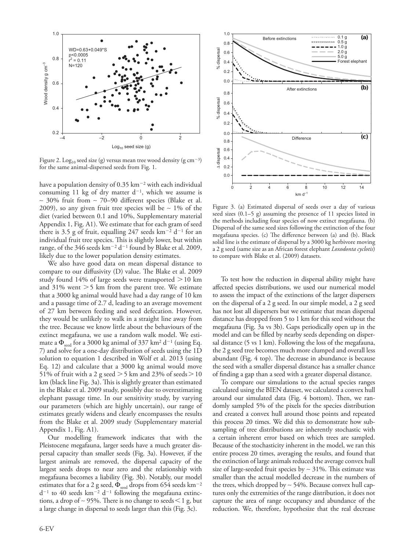

Figure 2. Log<sub>10</sub> seed size (g) versus mean tree wood density (g cm<sup>-3</sup>) for the same animal-dispersed seeds from Fig. 1.

have a population density of  $0.35 \text{ km}^{-2}$  with each individual consuming 11 kg of dry matter  $d^{-1}$ , which we assume is ∼ 30% fruit from ∼ 70–90 different species (Blake et al. 2009), so any given fruit tree species will be ∼ 1% of the diet (varied between 0.1 and 10%, Supplementary material Appendix 1, Fig. A1). We estimate that for each gram of seed there is 3.5 g of fruit, equalling 247 seeds  $km^{-2}$  d<sup>-1</sup> for an individual fruit tree species. This is slightly lower, but within range, of the 346 seeds  $km^{-2}$  d<sup>-1</sup> found by Blake et al. 2009, likely due to the lower population density estimates.

We also have good data on mean dispersal distance to compare to our diffusivity (D) value. The Blake et al. 2009 study found 14% of large seeds were transported  $>$  10 km and 31% went  $>$  5 km from the parent tree. We estimate that a 3000 kg animal would have had a day range of 10 km and a passage time of 2.7 d, leading to an average movement of 27 km between feeding and seed defecation. However, they would be unlikely to walk in a straight line away from the tree. Because we know little about the behaviours of the extinct megafauna, we use a random walk model. We estimate a  $\Phi_{\text{seed}}$  for a 3000 kg animal of 337 km<sup>2</sup> d<sup>-1</sup> (using Eq. 7) and solve for a one-day distribution of seeds using the 1D solution to equation 1 described in Wolf et al. 2013 (using Eq. 12) and calculate that a 3000 kg animal would move 51% of fruit with a 2 g seed  $>$  5 km and 23% of seeds  $>$  10 km (black line Fig. 3a). This is slightly greater than estimated in the Blake et al. 2009 study, possibly due to overestimating elephant passage time. In our sensitivity study, by varying our parameters (which are highly uncertain), our range of estimates greatly widens and clearly encompasses the results from the Blake et al. 2009 study (Supplementary material Appendix 1, Fig. A1).

Our modelling framework indicates that with the Pleistocene megafauna, larger seeds have a much greater dispersal capacity than smaller seeds (Fig. 3a). However, if the largest animals are removed, the dispersal capacity of the largest seeds drops to near zero and the relationship with megafauna becomes a liability (Fig. 3b). Notably, our model estimates that for a 2 g seed,  $\Phi_{\text{seed}}$  drops from 654 seeds km<sup>-2</sup>  $d^{-1}$  to 40 seeds km<sup>-2</sup> d<sup>-1</sup> following the megafauna extinctions, a drop of ~ 95%. There is no change to seeds  $\leq 1$  g, but a large change in dispersal to seeds larger than this (Fig. 3c).



Figure 3. (a) Estimated dispersal of seeds over a day of various seed sizes (0.1–5 g) assuming the presence of 11 species listed in the methods including four species of now extinct megafauna. (b) Dispersal of the same seed sizes following the extinction of the four megafauna species. (c) The difference between (a) and (b). Black solid line is the estimate of dispersal by a 3000 kg herbivore moving a 2 g seed (same size as an African forest elephant *Loxodonta cyclotis*) to compare with Blake et al. (2009) datasets.

To test how the reduction in dispersal ability might have affected species distributions, we used our numerical model to assess the impact of the extinctions of the larger dispersers on the dispersal of a 2 g seed. In our simple model, a 2 g seed has not lost all dispersers but we estimate that mean dispersal distance has dropped from 5 to 1 km for this seed without the megafauna (Fig. 3a vs 3b). Gaps periodically open up in the model and can be filled by nearby seeds depending on dispersal distance (5 vs 1 km). Following the loss of the megafauna, the 2 g seed tree becomes much more clumped and overall less abundant (Fig. 4 top). The decrease in abundance is because the seed with a smaller dispersal distance has a smaller chance of finding a gap than a seed with a greater dispersal distance.

To compare our simulations to the actual species ranges calculated using the BIEN dataset, we calculated a convex hull around our simulated data (Fig. 4 bottom). Then, we randomly sampled 5% of the pixels for the species distribution and created a convex hull around those points and repeated this process 20 times. We did this to demonstrate how subsampling of tree distributions are inherently stochastic with a certain inherent error based on which trees are sampled. Because of the stochasticity inherent in the model, we ran this entire process 20 times, averaging the results, and found that the extinction of large animals reduced the average convex hull size of large-seeded fruit species by ∼ 31%. This estimate was smaller than the actual modelled decrease in the numbers of the trees, which dropped by ∼ 54%. Because convex hull captures only the extremities of the range distribution, it does not capture the area of range occupancy and abundance of the reduction. We, therefore, hypothesize that the real decrease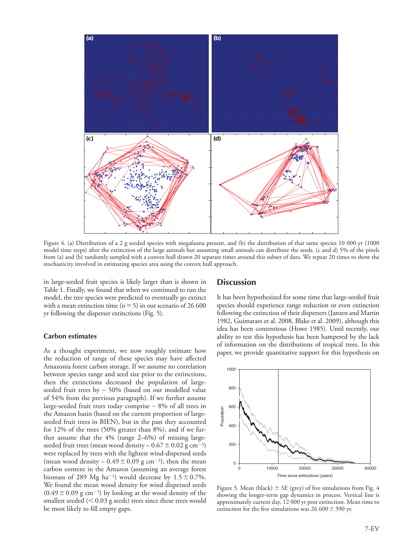

Figure 4. (a) Distribution of a 2 g seeded species with megafauna present, and (b) the distribution of that same species 10 000 yr (1000 model time steps) after the extinction of the large animals but assuming small animals can distribute the seeds. (c and d) 5% of the pixels from (a) and (b) randomly sampled with a convex hull drawn 20 separate times around this subset of data. We repeat 20 times to show the stochasticity involved in estimating species area using the convex hull approach.

in large-seeded fruit species is likely larger than is shown in Table 1. Finally, we found that when we continued to run the model, the tree species were predicted to eventually go extinct with a mean extinction time ( $n=5$ ) in our scenario of 26 600 yr following the disperser extinctions (Fig. 5).

#### **Carbon estimates**

As a thought experiment, we now roughly estimate how the reduction of range of these species may have affected Amazonia forest carbon storage. If we assume no correlation between species range and seed size prior to the extinctions, then the extinctions decreased the population of largeseeded fruit trees by ∼ 50% (based on our modelled value of 54% from the previous paragraph). If we further assume large-seeded fruit trees today comprise ∼ 8% of all trees in the Amazon basin (based on the current proportion of largeseeded fruit trees in BIEN), but in the past they accounted for 12% of the trees (50% greater than 8%), and if we further assume that the 4% (range 2–6%) of missing largeseeded fruit trees (mean wood density  $-0.67 \pm 0.02$  g cm<sup>-3</sup>) were replaced by trees with the lightest wind-dispersed seeds (mean wood density  $-0.49 \pm 0.09$  g cm<sup>-3</sup>), then the mean carbon content in the Amazon (assuming an average forest biomass of 289 Mg ha<sup>-1</sup>) would decrease by  $1.5 \pm 0.7$ %. We found the mean wood density for wind dispersed seeds  $(0.49 \pm 0.09 \text{ g cm}^{-3})$  by looking at the wood density of the smallest seeded  $(< 0.03$  g seeds) trees since these trees would be most likely to fill empty gaps.

## **Discussion**

It has been hypothesized for some time that large-seeded fruit species should experience range reduction or even extinction following the extinction of their dispersers (Janzen and Martin 1982, Guimaraes et al. 2008, Blake et al. 2009), although this idea has been contentious (Howe 1985). Until recently, our ability to test this hypothesis has been hampered by the lack of information on the distributions of tropical trees. In this paper, we provide quantitative support for this hypothesis on



Figure 5. Mean (black)  $\pm$  SE (grey) of five simulations from Fig. 4 showing the longer-term gap dynamics in process. Vertical line is approximately current day, 12 000 yr post extinction. Mean time to extinction for the five simulations was  $26\,600\pm390$  yr.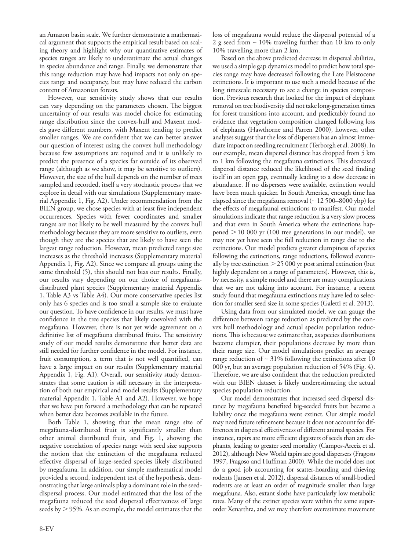an Amazon basin scale. We further demonstrate a mathematical argument that supports the empirical result based on scaling theory and highlight why our quantitative estimates of species ranges are likely to underestimate the actual changes in species abundance and range. Finally, we demonstrate that this range reduction may have had impacts not only on species range and occupancy, but may have reduced the carbon content of Amazonian forests.

However, our sensitivity study shows that our results can vary depending on the parameters chosen. The biggest uncertainty of our results was model choice for estimating range distribution since the convex-hull and Maxent models gave different numbers, with Maxent tending to predict smaller ranges. We are confident that we can better answer our question of interest using the convex hull methodology because few assumptions are required and it is unlikely to predict the presence of a species far outside of its observed range (although as we show, it may be sensitive to outliers). However, the size of the hull depends on the number of trees sampled and recorded, itself a very stochastic process that we explore in detail with our simulations (Supplementary material Appendix 1, Fig. A2). Under recommendation from the BIEN group, we chose species with at least five independent occurrences. Species with fewer coordinates and smaller ranges are not likely to be well measured by the convex hull methodology because they are more sensitive to outliers, even though they are the species that are likely to have seen the largest range reduction. However, mean predicted range size increases as the threshold increases (Supplementary material Appendix 1, Fig. A2). Since we compare all groups using the same threshold (5), this should not bias our results. Finally, our results vary depending on our choice of megafaunadistributed plant species (Supplementary material Appendix 1, Table A3 vs Table A4). Our more conservative species list only has 6 species and is too small a sample size to evaluate our question. To have confidence in our results, we must have confidence in the tree species that likely coevolved with the megafauna. However, there is not yet wide agreement on a definitive list of megafauna distributed fruits. The sensitivity study of our model results demonstrate that better data are still needed for further confidence in the model. For instance, fruit consumption, a term that is not well quantified, can have a large impact on our results (Supplementary material Appendix 1, Fig. A1). Overall, our sensitivity study demonstrates that some caution is still necessary in the interpretation of both our empirical and model results (Supplementary material Appendix 1, Table A1 and A2). However, we hope that we have put forward a methodology that can be repeated when better data becomes available in the future.

Both Table 1, showing that the mean range size of megafauna-distributed fruit is significantly smaller than other animal distributed fruit, and Fig. 1, showing the negative correlation of species range with seed size supports the notion that the extinction of the megafauna reduced effective dispersal of large-seeded species likely distributed by megafauna. In addition, our simple mathematical model provided a second, independent test of the hypothesis, demonstrating that large animals play a dominant role in the seeddispersal process. Our model estimated that the loss of the megafauna reduced the seed dispersal effectiveness of large seeds by  $>$  95%. As an example, the model estimates that the

loss of megafauna would reduce the dispersal potential of a 2 g seed from ∼ 10% traveling further than 10 km to only 10% travelling more than 2 km.

Based on the above predicted decrease in dispersal abilities, we used a simple gap dynamics model to predict how total species range may have decreased following the Late Pleistocene extinctions. It is important to use such a model because of the long timescale necessary to see a change in species composition. Previous research that looked for the impact of elephant removal on tree biodiversity did not take long-generation times for forest transitions into account, and predictably found no evidence that vegetation composition changed following loss of elephants (Hawthorne and Parren 2000), however, other analyses suggest that the loss of dispersers has an almost immediate impact on seedling recruitment (Terborgh et al. 2008). In our example, mean dispersal distance has dropped from 5 km to 1 km following the megafauna extinctions. This decreased dispersal distance reduced the likelihood of the seed finding itself in an open gap, eventually leading to a slow decrease in abundance. If no dispersers were available, extinction would have been much quicker. In South America, enough time has elapsed since the megafauna removal (∼ 12 500–8000 ybp) for the effects of megafaunal extinctions to manifest. Our model simulations indicate that range reduction is a very slow process and that even in South America where the extinctions happened  $> 10000$  yr (100 tree generations in our model), we may not yet have seen the full reduction in range due to the extinctions. Our model predicts greater clumpiness of species following the extinctions, range reductions, followed eventually by tree extinction 25 000 yr post animal extinction (but highly dependent on a range of parameters). However, this is, by necessity, a simple model and there are many complications that we are not taking into account. For instance, a recent study found that megafauna extinctions may have led to selection for smaller seed size in some species (Galetti et al. 2013).

Using data from our simulated model, we can gauge the difference between range reduction as predicted by the convex hull methodology and actual species population reductions. This is because we estimate that, as species distributions become clumpier, their populations decrease by more than their range size. Our model simulations predict an average range reduction of ∼ 31% following the extinctions after 10 000 yr, but an average population reduction of 54% (Fig. 4). Therefore, we are also confident that the reduction predicted with our BIEN dataset is likely underestimating the actual species population reduction.

Our model demonstrates that increased seed dispersal distance by megafauna benefited big-seeded fruits but became a liability once the megafauna went extinct. Our simple model may need future refinement because it does not account for differences in dispersal effectiveness of different animal species. For instance, tapirs are more efficient digesters of seeds than are elephants, leading to greater seed mortality (Campos-Arceiz et al. 2012), although New World tapirs are good dispersers (Fragoso 1997, Fragoso and Huffman 2000). While the model does not do a good job accounting for scatter-hoarding and thieving rodents (Jansen et al. 2012), dispersal distances of small-bodied rodents are at least an order of magnitude smaller than large megafauna. Also, extant sloths have particularly low metabolic rates. Many of the extinct species were within the same superorder Xenarthra, and we may therefore overestimate movement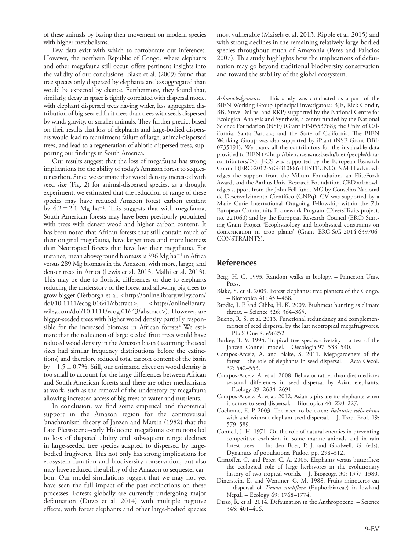of these animals by basing their movement on modern species with higher metabolisms.

Few data exist with which to corroborate our inferences. However, the northern Republic of Congo, where elephants and other megafauna still occur, offers pertinent insights into the validity of our conclusions. Blake et al. (2009) found that tree species only dispersed by elephants are less aggregated than would be expected by chance. Furthermore, they found that, similarly, decay in space is tightly correlated with dispersal mode, with elephant dispersed trees having wider, less aggregated distribution of big-seeded fruit trees than trees with seeds dispersed by wind, gravity, or smaller animals. They further predict based on their results that loss of elephants and large-bodied dispersers would lead to recruitment failure of large, animal-dispersed trees, and lead to a regeneration of abiotic-dispersed trees, supporting our findings in South America.

Our results suggest that the loss of megafauna has strong implications for the ability of today's Amazon forest to sequester carbon. Since we estimate that wood density increased with seed size (Fig. 2) for animal-dispersed species, as a thought experiment, we estimated that the reduction of range of these species may have reduced Amazon forest carbon content by  $4.2 \pm 2.1$  Mg ha<sup>-1</sup>. This suggests that with megafauna, South American forests may have been previously populated with trees with denser wood and higher carbon content. It has been noted that African forests that still contain much of their original megafauna, have larger trees and more biomass than Neotropical forests that have lost their megafauna. For instance, mean aboveground biomass is  $396$  Mg ha<sup>-1</sup> in Africa versus 289 Mg biomass in the Amazon, with more, larger, and denser trees in Africa (Lewis et al. 2013, Malhi et al. 2013). This may be due to floristic differences or due to elephants reducing the understory of the forest and allowing big trees to grow bigger (Terborgh et al. < http://onlinelibrary.wiley.com/ doi/10.1111/ecog.01641/abstract>, <http://onlinelibrary. wiley.com/doi/10.1111/ecog.01643/abstract>). However, are bigger-seeded trees with higher wood density partially responsible for the increased biomass in African forests? We estimate that the reduction of large seeded fruit trees would have reduced wood density in the Amazon basin (assuming the seed sizes had similar frequency distributions before the extinctions) and therefore reduced total carbon content of the basin by ~ 1.5  $\pm$  0.7%. Still, our estimated effect on wood density is too small to account for the large differences between African and South American forests and there are other mechanisms at work, such as the removal of the understory by megafauna allowing increased access of big trees to water and nutrients.

In conclusion, we find some empirical and theoretical support in the Amazon region for the controversial 'anachronism' theory of Janzen and Martin (1982) that the Late Pleistocene–early Holocene megafauna extinctions led to loss of dispersal ability and subsequent range declines in large-seeded tree species adapted to dispersed by largebodied frugivores. This not only has strong implications for ecosystem function and biodiversity conservation, but also may have reduced the ability of the Amazon to sequester carbon. Our model simulations suggest that we may not yet have seen the full impact of the past extinctions on these processes. Forests globally are currently undergoing major defaunation (Dirzo et al. 2014) with multiple negative effects, with forest elephants and other large-bodied species most vulnerable (Maisels et al. 2013, Ripple et al. 2015) and with strong declines in the remaining relatively large-bodied species throughout much of Amazonia (Peres and Palacios 2007). This study highlights how the implications of defaunation may go beyond traditional biodiversity conservation and toward the stability of the global ecosystem.

*Acknowledgements –* This study was conducted as a part of the BIEN Working Group (principal investigators: BJE, Rick Condit, BB, Steve Dolins, and RKP) supported by the National Centre for Ecological Analysis and Synthesis, a center funded by the National Science Foundation (NSF) (Grant EF-0553768); the Univ. of California, Santa Barbara; and the State of California. The BIEN Working Group was also supported by iPlant (NSF Grant DBI-0735191). We thank all the contributors for the invaluable data provided to BIEN (< http://bien.nceas.ucsb.edu/bien/people/datacontributors/>). J-CS was supported by the European Research Council (ERC-2012-StG-310886-HISTFUNC). NM-H acknowledges the support from the Villum Foundation, an EliteForsk Award, and the Aarhus Univ. Research Foundation. CED acknowledges support from the John Fell fund. MG by Conselho Nacional de Desenvolvimento Científico (CNPq). CV was supported by a Marie Curie International Outgoing Fellowship within the 7th European Community Framework Program (DiversiTraits project, no. 221060) and by the European Research Council (ERC) Starting Grant Project 'Ecophysiology and biophysical constraints on domestication in crop plants' (Grant ERC-StG-2014-639706- CONSTRAINTS).

## **References**

- Berg, H. C. 1993. Random walks in biology. Princeton Univ. Press.
- Blake, S. et al. 2009. Forest elephants: tree planters of the Congo. – Biotropica 41: 459–468.
- Brodie, J. F. and Gibbs, H. K. 2009. Bushmeat hunting as climate threat. – Science 326: 364–365.
- Bueno, R. S. et al. 2013. Functional redundancy and complementarities of seed dispersal by the last neotropical megafrugivores. – PLoS One 8: e56252.
- Burkey, T. V. 1994. Tropical tree species-diversity a test of the Janzen–Connell model. – Oecologia 97: 533–540.
- Campos-Arceiz, A. and Blake, S. 2011. Megagardeners of the forest – the role of elephants in seed dispersal. – Acta Oecol. 37: 542–553.
- Campos-Arceiz, A. et al. 2008. Behavior rather than diet mediates seasonal differences in seed dispersal by Asian elephants. – Ecology 89: 2684–2691.
- Campos-Arceiz, A. et al. 2012. Asian tapirs are no elephants when it comes to seed dispersal. – Biotropica 44: 220–227.
- Cochrane, E. P. 2003. The need to be eaten: *Balanites wilsoniana* with and without elephant seed-dispersal. – J. Trop. Ecol. 19: 579–589.
- Connell, J. H. 1971. On the role of natural enemies in preventing competitive exclusion in some marine animals and in rain forest trees. *–* In: den Boer, P. J. and Gradwell, G. (eds), Dynamics of populations. Pudoc, pp. 298–312.
- Cristoffer, C. and Peres, C. A. 2003. Elephants versus butterflies: the ecological role of large herbivores in the evolutionary history of two tropical worlds. – J. Biogeogr. 30: 1357–1380.
- Dinerstein, E. and Wemmer, C. M. 1988. Fruits rhinoceros eat – dispersal of *Trewia nudiflora* (Euphorbiaceae) in lowland Nepal. – Ecology 69: 1768–1774.
- Dirzo, R. et al. 2014. Defaunation in the Anthropocene. Science 345: 401–406.